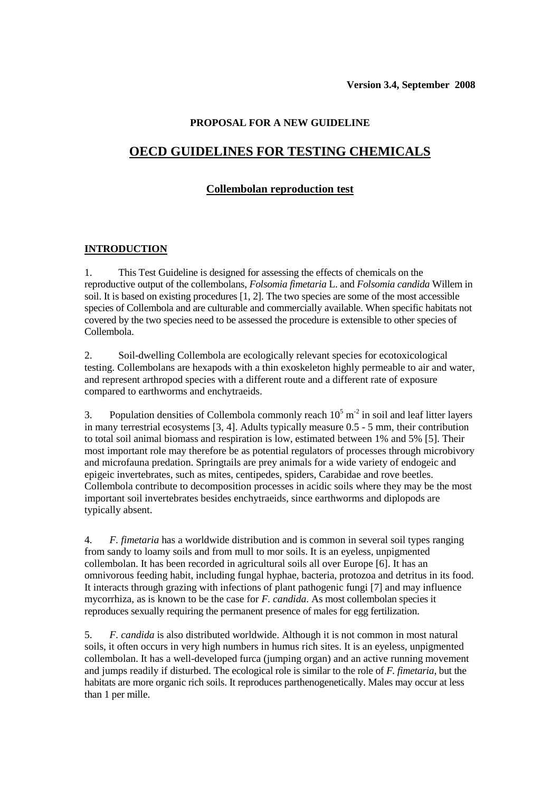## **PROPOSAL FOR A NEW GUIDELINE**

# **OECD GUIDELINES FOR TESTING CHEMICALS**

## **Collembolan reproduction test**

## **INTRODUCTION**

1. This Test Guideline is designed for assessing the effects of chemicals on the reproductive output of the collembolans, *Folsomia fimetaria* L. and *Folsomia candida* Willem in soil. It is based on existing procedures [1, 2]. The two species are some of the most accessible species of Collembola and are culturable and commercially available. When specific habitats not covered by the two species need to be assessed the procedure is extensible to other species of Collembola.

2. Soil-dwelling Collembola are ecologically relevant species for ecotoxicological testing. Collembolans are hexapods with a thin exoskeleton highly permeable to air and water, and represent arthropod species with a different route and a different rate of exposure compared to earthworms and enchytraeids.

3. Population densities of Collembola commonly reach  $10^5$  m<sup>-2</sup> in soil and leaf litter layers in many terrestrial ecosystems [3, 4]. Adults typically measure 0.5 - 5 mm, their contribution to total soil animal biomass and respiration is low, estimated between 1% and 5% [5]. Their most important role may therefore be as potential regulators of processes through microbivory and microfauna predation. Springtails are prey animals for a wide variety of endogeic and epigeic invertebrates, such as mites, centipedes, spiders, Carabidae and rove beetles. Collembola contribute to decomposition processes in acidic soils where they may be the most important soil invertebrates besides enchytraeids, since earthworms and diplopods are typically absent.

4. *F. fimetaria* has a worldwide distribution and is common in several soil types ranging from sandy to loamy soils and from mull to mor soils. It is an eyeless, unpigmented collembolan. It has been recorded in agricultural soils all over Europe [6]. It has an omnivorous feeding habit, including fungal hyphae, bacteria, protozoa and detritus in its food. It interacts through grazing with infections of plant pathogenic fungi [7] and may influence mycorrhiza, as is known to be the case for *F. candida*. As most collembolan species it reproduces sexually requiring the permanent presence of males for egg fertilization.

5. *F. candida* is also distributed worldwide. Although it is not common in most natural soils, it often occurs in very high numbers in humus rich sites. It is an eyeless, unpigmented collembolan. It has a well-developed furca (jumping organ) and an active running movement and jumps readily if disturbed. The ecological role is similar to the role of *F. fimetaria*, but the habitats are more organic rich soils. It reproduces parthenogenetically. Males may occur at less than 1 per mille.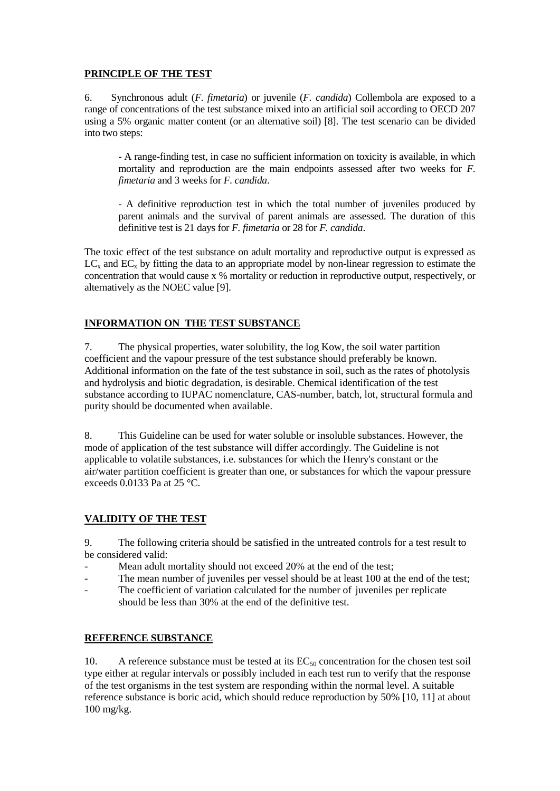## **PRINCIPLE OF THE TEST**

6. Synchronous adult (*F. fimetaria*) or juvenile (*F. candida*) Collembola are exposed to a range of concentrations of the test substance mixed into an artificial soil according to OECD 207 using a 5% organic matter content (or an alternative soil) [8]. The test scenario can be divided into two steps:

- A range-finding test, in case no sufficient information on toxicity is available, in which mortality and reproduction are the main endpoints assessed after two weeks for *F. fimetaria* and 3 weeks for *F. candida*.

- A definitive reproduction test in which the total number of juveniles produced by parent animals and the survival of parent animals are assessed. The duration of this definitive test is 21 days for *F. fimetaria* or 28 for *F. candida*.

The toxic effect of the test substance on adult mortality and reproductive output is expressed as  $LC_x$  and  $EC_x$  by fitting the data to an appropriate model by non-linear regression to estimate the concentration that would cause x % mortality or reduction in reproductive output, respectively, or alternatively as the NOEC value [9].

## **INFORMATION ON THE TEST SUBSTANCE**

7. The physical properties, water solubility, the log Kow, the soil water partition coefficient and the vapour pressure of the test substance should preferably be known. Additional information on the fate of the test substance in soil, such as the rates of photolysis and hydrolysis and biotic degradation, is desirable. Chemical identification of the test substance according to IUPAC nomenclature, CAS-number, batch, lot, structural formula and purity should be documented when available.

8. This Guideline can be used for water soluble or insoluble substances. However, the mode of application of the test substance will differ accordingly. The Guideline is not applicable to volatile substances, i.e. substances for which the Henry's constant or the air/water partition coefficient is greater than one, or substances for which the vapour pressure exceeds 0.0133 Pa at 25 °C.

## **VALIDITY OF THE TEST**

9. The following criteria should be satisfied in the untreated controls for a test result to be considered valid:

- Mean adult mortality should not exceed 20% at the end of the test;
- The mean number of juveniles per vessel should be at least 100 at the end of the test;
- The coefficient of variation calculated for the number of juveniles per replicate should be less than 30% at the end of the definitive test.

## **REFERENCE SUBSTANCE**

10. A reference substance must be tested at its  $EC_{50}$  concentration for the chosen test soil type either at regular intervals or possibly included in each test run to verify that the response of the test organisms in the test system are responding within the normal level. A suitable reference substance is boric acid, which should reduce reproduction by 50% [10, 11] at about 100 mg/kg.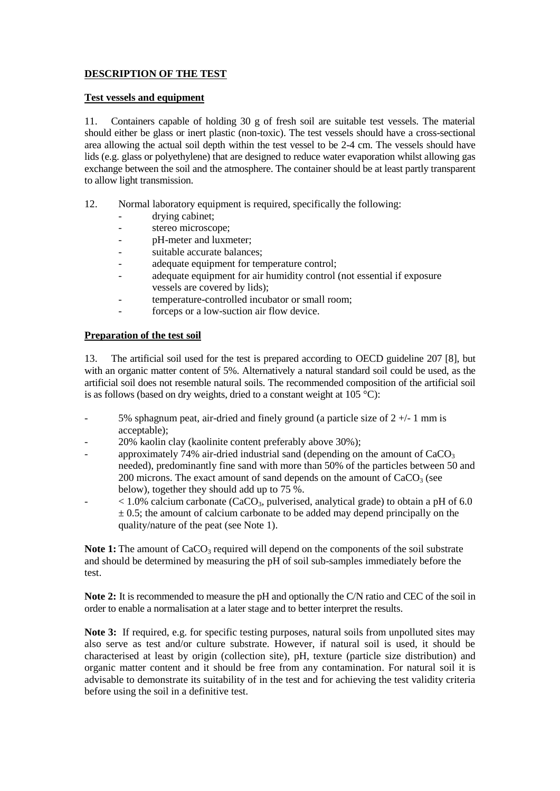## **DESCRIPTION OF THE TEST**

## **Test vessels and equipment**

11. Containers capable of holding 30 g of fresh soil are suitable test vessels. The material should either be glass or inert plastic (non-toxic). The test vessels should have a cross-sectional area allowing the actual soil depth within the test vessel to be 2-4 cm. The vessels should have lids (e.g. glass or polyethylene) that are designed to reduce water evaporation whilst allowing gas exchange between the soil and the atmosphere. The container should be at least partly transparent to allow light transmission.

- 12. Normal laboratory equipment is required, specifically the following:
	- drying cabinet;
	- stereo microscope;
	- pH-meter and luxmeter;
	- suitable accurate balances;
	- adequate equipment for temperature control;
	- adequate equipment for air humidity control (not essential if exposure vessels are covered by lids);
	- temperature-controlled incubator or small room;
	- forceps or a low-suction air flow device.

## **Preparation of the test soil**

13. The artificial soil used for the test is prepared according to OECD guideline 207 [8], but with an organic matter content of 5%. Alternatively a natural standard soil could be used, as the artificial soil does not resemble natural soils. The recommended composition of the artificial soil is as follows (based on dry weights, dried to a constant weight at 105 °C):

- 5% sphagnum peat, air-dried and finely ground (a particle size of  $2 +/-1$  mm is acceptable);
- 20% kaolin clay (kaolinite content preferably above 30%);
- approximately 74% air-dried industrial sand (depending on the amount of  $CaCO<sub>3</sub>$ ) needed), predominantly fine sand with more than 50% of the particles between 50 and  $200$  microns. The exact amount of sand depends on the amount of  $CaCO<sub>3</sub>$  (see below), together they should add up to 75 %.
- $<$  1.0% calcium carbonate (CaCO<sub>3</sub>, pulverised, analytical grade) to obtain a pH of 6.0  $\pm$  0.5; the amount of calcium carbonate to be added may depend principally on the quality/nature of the peat (see Note 1).

Note 1: The amount of CaCO<sub>3</sub> required will depend on the components of the soil substrate and should be determined by measuring the pH of soil sub-samples immediately before the test.

**Note 2:** It is recommended to measure the pH and optionally the C/N ratio and CEC of the soil in order to enable a normalisation at a later stage and to better interpret the results.

**Note 3:** If required, e.g. for specific testing purposes, natural soils from unpolluted sites may also serve as test and/or culture substrate. However, if natural soil is used, it should be characterised at least by origin (collection site), pH, texture (particle size distribution) and organic matter content and it should be free from any contamination. For natural soil it is advisable to demonstrate its suitability of in the test and for achieving the test validity criteria before using the soil in a definitive test.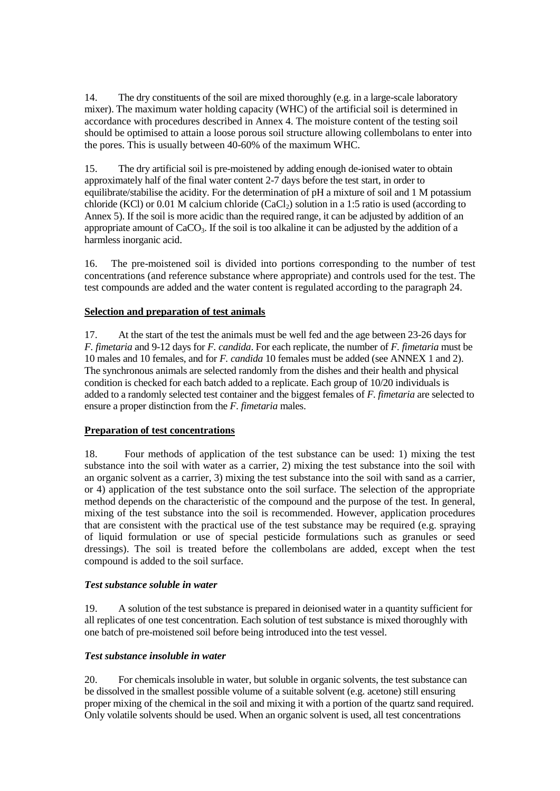14. The dry constituents of the soil are mixed thoroughly (e.g. in a large-scale laboratory mixer). The maximum water holding capacity (WHC) of the artificial soil is determined in accordance with procedures described in Annex 4. The moisture content of the testing soil should be optimised to attain a loose porous soil structure allowing collembolans to enter into the pores. This is usually between 40-60% of the maximum WHC.

15. The dry artificial soil is pre-moistened by adding enough de-ionised water to obtain approximately half of the final water content 2-7 days before the test start, in order to equilibrate/stabilise the acidity. For the determination of pH a mixture of soil and 1 M potassium chloride (KCl) or 0.01 M calcium chloride (CaCl<sub>2</sub>) solution in a 1:5 ratio is used (according to Annex 5). If the soil is more acidic than the required range, it can be adjusted by addition of an appropriate amount of CaCO<sub>3</sub>. If the soil is too alkaline it can be adjusted by the addition of a harmless inorganic acid.

16. The pre-moistened soil is divided into portions corresponding to the number of test concentrations (and reference substance where appropriate) and controls used for the test. The test compounds are added and the water content is regulated according to the paragraph 24.

## **Selection and preparation of test animals**

17. At the start of the test the animals must be well fed and the age between 23-26 days for *F. fimetaria* and 9-12 days for *F. candida*. For each replicate, the number of *F. fimetaria* must be 10 males and 10 females, and for *F. candida* 10 females must be added (see ANNEX 1 and 2). The synchronous animals are selected randomly from the dishes and their health and physical condition is checked for each batch added to a replicate. Each group of 10/20 individuals is added to a randomly selected test container and the biggest females of *F. fimetaria* are selected to ensure a proper distinction from the *F. fimetaria* males.

## **Preparation of test concentrations**

18. Four methods of application of the test substance can be used: 1) mixing the test substance into the soil with water as a carrier, 2) mixing the test substance into the soil with an organic solvent as a carrier, 3) mixing the test substance into the soil with sand as a carrier, or 4) application of the test substance onto the soil surface. The selection of the appropriate method depends on the characteristic of the compound and the purpose of the test. In general, mixing of the test substance into the soil is recommended. However, application procedures that are consistent with the practical use of the test substance may be required (e.g. spraying of liquid formulation or use of special pesticide formulations such as granules or seed dressings). The soil is treated before the collembolans are added, except when the test compound is added to the soil surface.

### *Test substance soluble in water*

19. A solution of the test substance is prepared in deionised water in a quantity sufficient for all replicates of one test concentration. Each solution of test substance is mixed thoroughly with one batch of pre-moistened soil before being introduced into the test vessel.

## *Test substance insoluble in water*

20. For chemicals insoluble in water, but soluble in organic solvents, the test substance can be dissolved in the smallest possible volume of a suitable solvent (e.g. acetone) still ensuring proper mixing of the chemical in the soil and mixing it with a portion of the quartz sand required. Only volatile solvents should be used. When an organic solvent is used, all test concentrations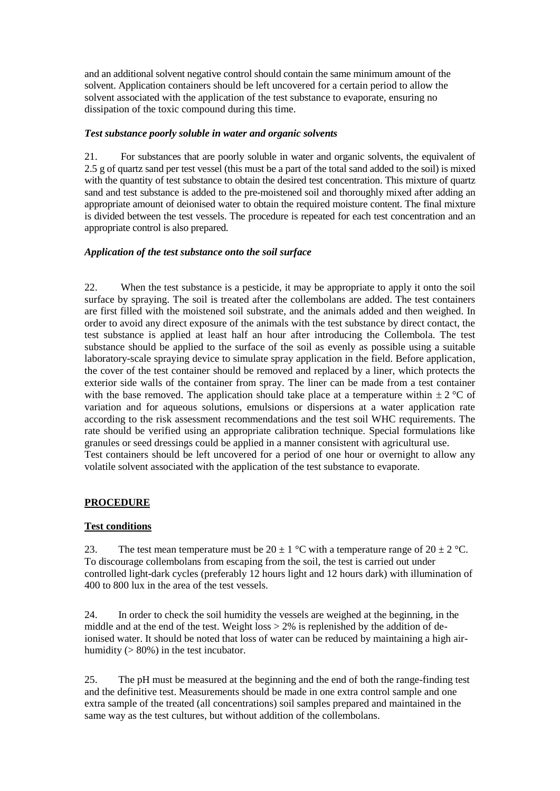and an additional solvent negative control should contain the same minimum amount of the solvent. Application containers should be left uncovered for a certain period to allow the solvent associated with the application of the test substance to evaporate, ensuring no dissipation of the toxic compound during this time.

### *Test substance poorly soluble in water and organic solvents*

21. For substances that are poorly soluble in water and organic solvents, the equivalent of 2.5 g of quartz sand per test vessel (this must be a part of the total sand added to the soil) is mixed with the quantity of test substance to obtain the desired test concentration. This mixture of quartz sand and test substance is added to the pre-moistened soil and thoroughly mixed after adding an appropriate amount of deionised water to obtain the required moisture content. The final mixture is divided between the test vessels. The procedure is repeated for each test concentration and an appropriate control is also prepared.

## *Application of the test substance onto the soil surface*

22. When the test substance is a pesticide, it may be appropriate to apply it onto the soil surface by spraying. The soil is treated after the collembolans are added. The test containers are first filled with the moistened soil substrate, and the animals added and then weighed. In order to avoid any direct exposure of the animals with the test substance by direct contact, the test substance is applied at least half an hour after introducing the Collembola. The test substance should be applied to the surface of the soil as evenly as possible using a suitable laboratory-scale spraying device to simulate spray application in the field. Before application, the cover of the test container should be removed and replaced by a liner, which protects the exterior side walls of the container from spray. The liner can be made from a test container with the base removed. The application should take place at a temperature within  $\pm 2$  °C of variation and for aqueous solutions, emulsions or dispersions at a water application rate according to the risk assessment recommendations and the test soil WHC requirements. The rate should be verified using an appropriate calibration technique. Special formulations like granules or seed dressings could be applied in a manner consistent with agricultural use. Test containers should be left uncovered for a period of one hour or overnight to allow any volatile solvent associated with the application of the test substance to evaporate.

## **PROCEDURE**

### **Test conditions**

23. The test mean temperature must be  $20 \pm 1$  °C with a temperature range of  $20 \pm 2$  °C. To discourage collembolans from escaping from the soil, the test is carried out under controlled light-dark cycles (preferably 12 hours light and 12 hours dark) with illumination of 400 to 800 lux in the area of the test vessels.

24. In order to check the soil humidity the vessels are weighed at the beginning, in the middle and at the end of the test. Weight  $loss > 2\%$  is replenished by the addition of deionised water. It should be noted that loss of water can be reduced by maintaining a high airhumidity  $(> 80\%)$  in the test incubator.

25. The pH must be measured at the beginning and the end of both the range-finding test and the definitive test. Measurements should be made in one extra control sample and one extra sample of the treated (all concentrations) soil samples prepared and maintained in the same way as the test cultures, but without addition of the collembolans.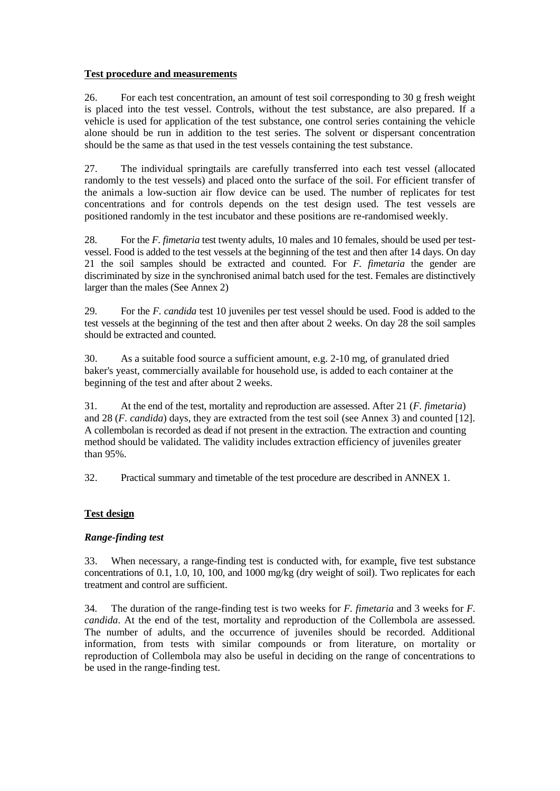## **Test procedure and measurements**

26. For each test concentration, an amount of test soil corresponding to 30 g fresh weight is placed into the test vessel. Controls, without the test substance, are also prepared. If a vehicle is used for application of the test substance, one control series containing the vehicle alone should be run in addition to the test series. The solvent or dispersant concentration should be the same as that used in the test vessels containing the test substance.

27. The individual springtails are carefully transferred into each test vessel (allocated randomly to the test vessels) and placed onto the surface of the soil. For efficient transfer of the animals a low-suction air flow device can be used. The number of replicates for test concentrations and for controls depends on the test design used. The test vessels are positioned randomly in the test incubator and these positions are re-randomised weekly.

28. For the *F. fimetaria* test twenty adults, 10 males and 10 females, should be used per testvessel. Food is added to the test vessels at the beginning of the test and then after 14 days. On day 21 the soil samples should be extracted and counted. For *F. fimetaria* the gender are discriminated by size in the synchronised animal batch used for the test. Females are distinctively larger than the males (See Annex 2)

29. For the *F. candida* test 10 juveniles per test vessel should be used. Food is added to the test vessels at the beginning of the test and then after about 2 weeks. On day 28 the soil samples should be extracted and counted.

30. As a suitable food source a sufficient amount, e.g. 2-10 mg, of granulated dried baker's yeast, commercially available for household use, is added to each container at the beginning of the test and after about 2 weeks.

31. At the end of the test, mortality and reproduction are assessed. After 21 (*F. fimetaria*) and 28 (*F. candida*) days, they are extracted from the test soil (see Annex 3) and counted [12]. A collembolan is recorded as dead if not present in the extraction. The extraction and counting method should be validated. The validity includes extraction efficiency of juveniles greater than 95%.

32. Practical summary and timetable of the test procedure are described in ANNEX 1.

## **Test design**

## *Range-finding test*

33. When necessary, a range-finding test is conducted with, for example, five test substance concentrations of 0.1, 1.0, 10, 100, and 1000 mg/kg (dry weight of soil). Two replicates for each treatment and control are sufficient.

34. The duration of the range-finding test is two weeks for *F. fimetaria* and 3 weeks for *F. candida*. At the end of the test, mortality and reproduction of the Collembola are assessed. The number of adults, and the occurrence of juveniles should be recorded. Additional information, from tests with similar compounds or from literature, on mortality or reproduction of Collembola may also be useful in deciding on the range of concentrations to be used in the range-finding test.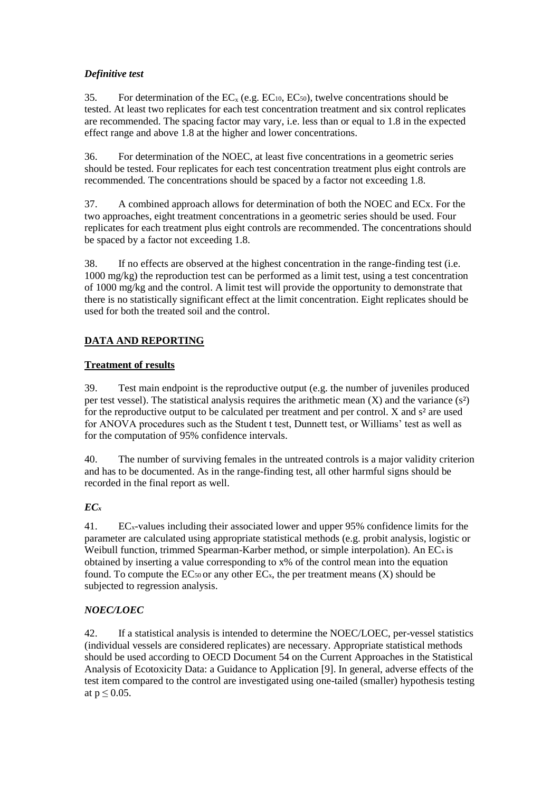## *Definitive test*

35. For determination of the  $EC_x$  (e.g.  $EC_{10}$ ,  $EC_{50}$ ), twelve concentrations should be tested. At least two replicates for each test concentration treatment and six control replicates are recommended. The spacing factor may vary, i.e. less than or equal to 1.8 in the expected effect range and above 1.8 at the higher and lower concentrations.

36. For determination of the NOEC, at least five concentrations in a geometric series should be tested. Four replicates for each test concentration treatment plus eight controls are recommended*.* The concentrations should be spaced by a factor not exceeding 1.8.

37. A combined approach allows for determination of both the NOEC and ECx. For the two approaches, eight treatment concentrations in a geometric series should be used. Four replicates for each treatment plus eight controls are recommended. The concentrations should be spaced by a factor not exceeding 1.8.

38. If no effects are observed at the highest concentration in the range-finding test (i.e. 1000 mg/kg) the reproduction test can be performed as a limit test, using a test concentration of 1000 mg/kg and the control. A limit test will provide the opportunity to demonstrate that there is no statistically significant effect at the limit concentration. Eight replicates should be used for both the treated soil and the control.

## **DATA AND REPORTING**

## **Treatment of results**

39. Test main endpoint is the reproductive output (e.g. the number of juveniles produced per test vessel). The statistical analysis requires the arithmetic mean  $(X)$  and the variance  $(s^2)$ for the reproductive output to be calculated per treatment and per control. X and s<sup>2</sup> are used for ANOVA procedures such as the Student t test, Dunnett test, or Williams' test as well as for the computation of 95% confidence intervals.

40. The number of surviving females in the untreated controls is a major validity criterion and has to be documented. As in the range-finding test, all other harmful signs should be recorded in the final report as well.

## *EC<sup>x</sup>*

41. ECx-values including their associated lower and upper 95% confidence limits for the parameter are calculated using appropriate statistical methods (e.g. probit analysis, logistic or Weibull function, trimmed Spearman-Karber method, or simple interpolation). An EC<sub>x</sub> is obtained by inserting a value corresponding to x% of the control mean into the equation found. To compute the  $EC<sub>50</sub>$  or any other  $EC<sub>x</sub>$ , the per treatment means  $(X)$  should be subjected to regression analysis.

## *NOEC/LOEC*

42. If a statistical analysis is intended to determine the NOEC/LOEC, per-vessel statistics (individual vessels are considered replicates) are necessary. Appropriate statistical methods should be used according to OECD Document 54 on the Current Approaches in the Statistical Analysis of Ecotoxicity Data: a Guidance to Application [9]. In general, adverse effects of the test item compared to the control are investigated using one-tailed (smaller) hypothesis testing at  $p \leq 0.05$ .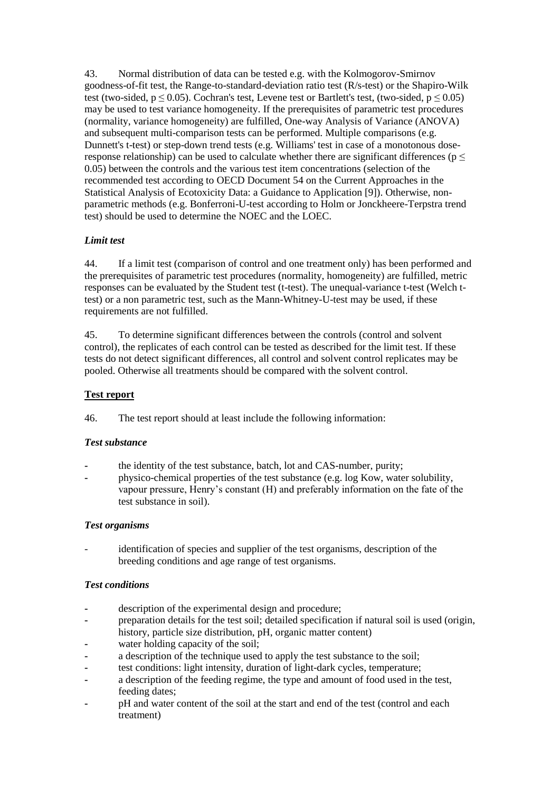43. Normal distribution of data can be tested e.g. with the Kolmogorov-Smirnov goodness-of-fit test, the Range-to-standard-deviation ratio test (R/s-test) or the Shapiro-Wilk test (two-sided,  $p \le 0.05$ ). Cochran's test, Levene test or Bartlett's test, (two-sided,  $p \le 0.05$ ) may be used to test variance homogeneity. If the prerequisites of parametric test procedures (normality, variance homogeneity) are fulfilled, One-way Analysis of Variance (ANOVA) and subsequent multi-comparison tests can be performed. Multiple comparisons (e.g. Dunnett's t-test) or step-down trend tests (e.g. Williams' test in case of a monotonous doseresponse relationship) can be used to calculate whether there are significant differences ( $p \leq$ 0.05) between the controls and the various test item concentrations (selection of the recommended test according to OECD Document 54 on the Current Approaches in the Statistical Analysis of Ecotoxicity Data: a Guidance to Application [9]). Otherwise, nonparametric methods (e.g. Bonferroni-U-test according to Holm or Jonckheere-Terpstra trend test) should be used to determine the NOEC and the LOEC.

## *Limit test*

44. If a limit test (comparison of control and one treatment only) has been performed and the prerequisites of parametric test procedures (normality, homogeneity) are fulfilled, metric responses can be evaluated by the Student test (t-test). The unequal-variance t-test (Welch ttest) or a non parametric test, such as the Mann-Whitney-U-test may be used, if these requirements are not fulfilled.

45. To determine significant differences between the controls (control and solvent control), the replicates of each control can be tested as described for the limit test. If these tests do not detect significant differences, all control and solvent control replicates may be pooled. Otherwise all treatments should be compared with the solvent control.

## **Test report**

46. The test report should at least include the following information:

## *Test substance*

- **-** the identity of the test substance, batch, lot and CAS-number, purity;
- **-** physico-chemical properties of the test substance (e.g. log Kow, water solubility, vapour pressure, Henry's constant (H) and preferably information on the fate of the test substance in soil).

## *Test organisms*

identification of species and supplier of the test organisms, description of the breeding conditions and age range of test organisms.

## *Test conditions*

- **-** description of the experimental design and procedure;
- **-** preparation details for the test soil; detailed specification if natural soil is used (origin, history, particle size distribution, pH, organic matter content)
- **-** water holding capacity of the soil;
- **-** a description of the technique used to apply the test substance to the soil;
- **-** test conditions: light intensity, duration of light-dark cycles, temperature;
- **-** a description of the feeding regime, the type and amount of food used in the test, feeding dates;
- **-** pH and water content of the soil at the start and end of the test (control and each treatment)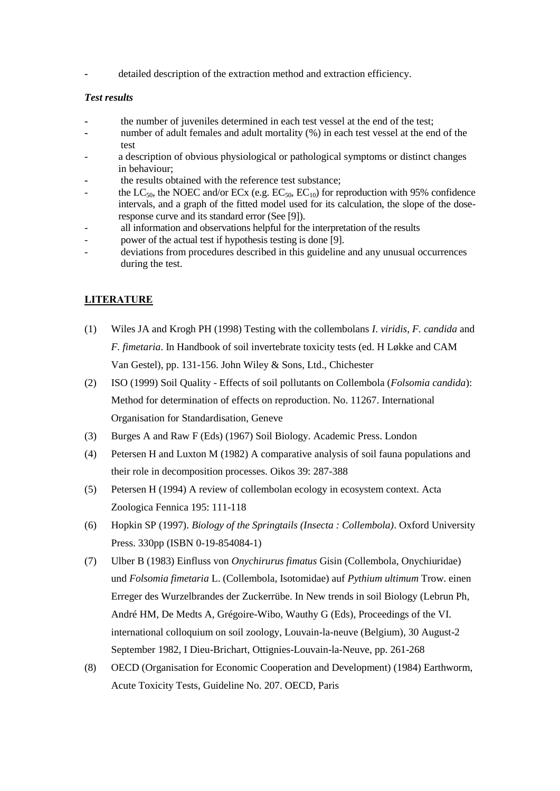**-** detailed description of the extraction method and extraction efficiency.

## *Test results*

- **-** the number of juveniles determined in each test vessel at the end of the test;
- **-** number of adult females and adult mortality (%) in each test vessel at the end of the test
- a description of obvious physiological or pathological symptoms or distinct changes in behaviour;
- **-** the results obtained with the reference test substance;
- the LC<sub>50</sub>, the NOEC and/or ECx (e.g. EC<sub>50</sub>, EC<sub>10</sub>) for reproduction with 95% confidence intervals, and a graph of the fitted model used for its calculation, the slope of the doseresponse curve and its standard error (See [9]).
- all information and observations helpful for the interpretation of the results
- power of the actual test if hypothesis testing is done [9].
- deviations from procedures described in this guideline and any unusual occurrences during the test.

## **LITERATURE**

- (1) Wiles JA and Krogh PH (1998) Testing with the collembolans *I. viridis*, *F. candida* and *F. fimetaria*. In Handbook of soil invertebrate toxicity tests (ed. H Løkke and CAM Van Gestel), pp. 131-156. John Wiley & Sons, Ltd., Chichester
- (2) ISO (1999) Soil Quality Effects of soil pollutants on Collembola (*Folsomia candida*): Method for determination of effects on reproduction. No. 11267. International Organisation for Standardisation, Geneve
- (3) Burges A and Raw F (Eds) (1967) Soil Biology. Academic Press. London
- (4) Petersen H and Luxton M (1982) A comparative analysis of soil fauna populations and their role in decomposition processes. Oikos 39: 287-388
- (5) Petersen H (1994) A review of collembolan ecology in ecosystem context. Acta Zoologica Fennica 195: 111-118
- (6) Hopkin SP (1997). *Biology of the Springtails (Insecta : Collembola)*. Oxford University Press. 330pp (ISBN 0-19-854084-1)
- (7) Ulber B (1983) Einfluss von *Onychirurus fimatus* Gisin (Collembola, Onychiuridae) und *Folsomia fimetaria* L. (Collembola, Isotomidae) auf *Pythium ultimum* Trow. einen Erreger des Wurzelbrandes der Zuckerrübe. In New trends in soil Biology (Lebrun Ph, André HM, De Medts A, Grégoire-Wibo, Wauthy G (Eds), Proceedings of the VI. international colloquium on soil zoology, Louvain-la-neuve (Belgium), 30 August-2 September 1982, I Dieu-Brichart, Ottignies-Louvain-la-Neuve, pp. 261-268
- (8) OECD (Organisation for Economic Cooperation and Development) (1984) Earthworm, Acute Toxicity Tests, Guideline No. 207. OECD, Paris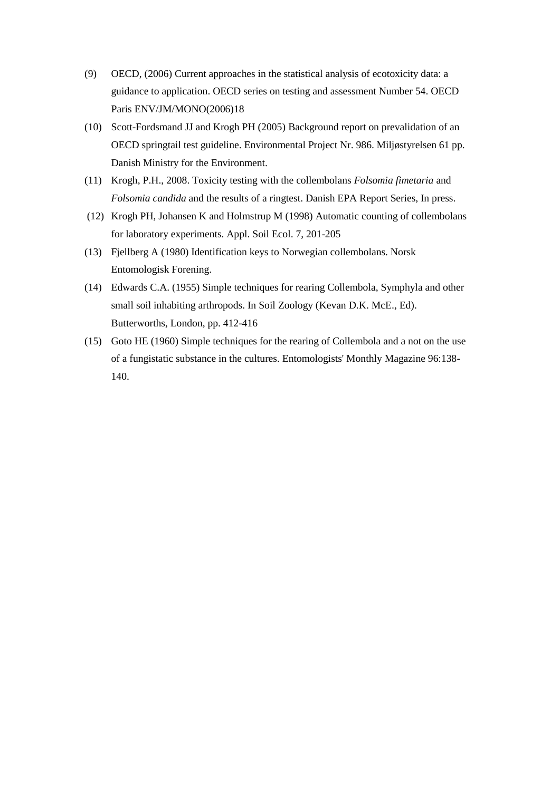- (9) OECD, (2006) Current approaches in the statistical analysis of ecotoxicity data: a guidance to application. OECD series on testing and assessment Number 54. OECD Paris ENV/JM/MONO(2006)18
- (10) Scott-Fordsmand JJ and Krogh PH (2005) Background report on prevalidation of an OECD springtail test guideline. Environmental Project Nr. 986. Miljøstyrelsen 61 pp. Danish Ministry for the Environment.
- (11) Krogh, P.H., 2008. Toxicity testing with the collembolans *Folsomia fimetaria* and *Folsomia candida* and the results of a ringtest. Danish EPA Report Series, In press.
- (12) Krogh PH, Johansen K and Holmstrup M (1998) Automatic counting of collembolans for laboratory experiments. Appl. Soil Ecol. 7, 201-205
- (13) Fjellberg A (1980) Identification keys to Norwegian collembolans. Norsk Entomologisk Forening.
- (14) Edwards C.A. (1955) Simple techniques for rearing Collembola, Symphyla and other small soil inhabiting arthropods. In Soil Zoology (Kevan D.K. McE., Ed). Butterworths, London, pp. 412-416
- (15) Goto HE (1960) Simple techniques for the rearing of Collembola and a not on the use of a fungistatic substance in the cultures. Entomologists' Monthly Magazine 96:138- 140.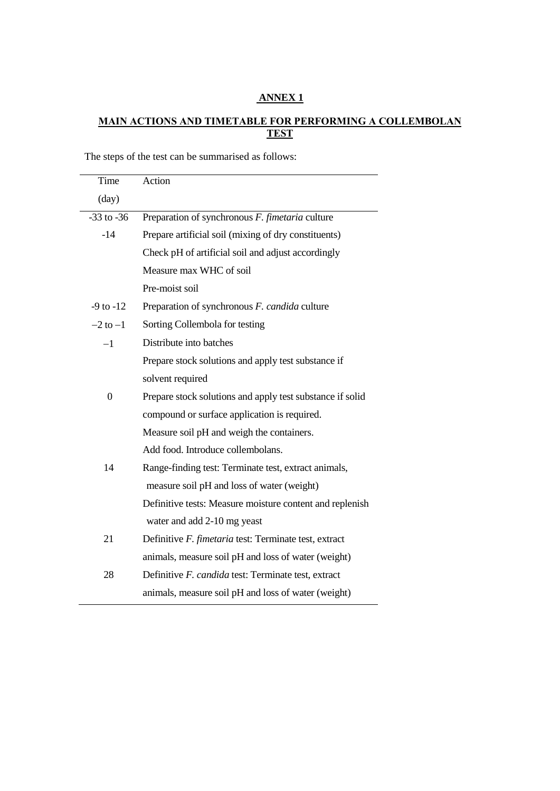## **MAIN ACTIONS AND TIMETABLE FOR PERFORMING A COLLEMBOLAN TEST**

The steps of the test can be summarised as follows:

| Time             | Action                                                    |
|------------------|-----------------------------------------------------------|
| $\text{(day)}$   |                                                           |
| $-33$ to $-36$   | Preparation of synchronous F. fimetaria culture           |
| $-14$            | Prepare artificial soil (mixing of dry constituents)      |
|                  | Check pH of artificial soil and adjust accordingly        |
|                  | Measure max WHC of soil                                   |
|                  | Pre-moist soil                                            |
| $-9$ to $-12$    | Preparation of synchronous F. candida culture             |
| $-2$ to $-1$     | Sorting Collembola for testing                            |
| $-1$             | Distribute into batches                                   |
|                  | Prepare stock solutions and apply test substance if       |
|                  | solvent required                                          |
| $\boldsymbol{0}$ | Prepare stock solutions and apply test substance if solid |
|                  | compound or surface application is required.              |
|                  | Measure soil pH and weigh the containers.                 |
|                  | Add food. Introduce collembolans.                         |
| 14               | Range-finding test: Terminate test, extract animals,      |
|                  | measure soil pH and loss of water (weight)                |
|                  | Definitive tests: Measure moisture content and replenish  |
|                  | water and add 2-10 mg yeast                               |
| 21               | Definitive F. fimetaria test: Terminate test, extract     |
|                  | animals, measure soil pH and loss of water (weight)       |
| 28               | Definitive F. candida test: Terminate test, extract       |
|                  | animals, measure soil pH and loss of water (weight)       |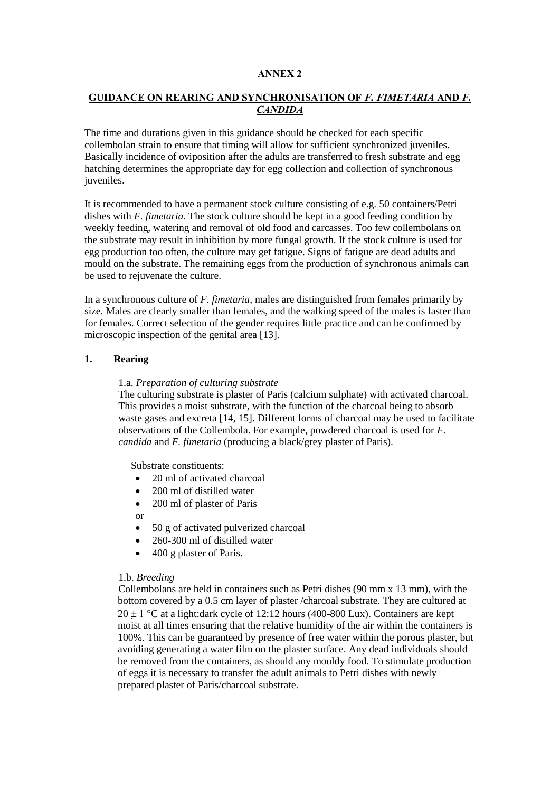## **GUIDANCE ON REARING AND SYNCHRONISATION OF** *F. FIMETARIA* **AND** *F. CANDIDA*

The time and durations given in this guidance should be checked for each specific collembolan strain to ensure that timing will allow for sufficient synchronized juveniles. Basically incidence of oviposition after the adults are transferred to fresh substrate and egg hatching determines the appropriate day for egg collection and collection of synchronous juveniles.

It is recommended to have a permanent stock culture consisting of e.g. 50 containers/Petri dishes with *F. fimetaria*. The stock culture should be kept in a good feeding condition by weekly feeding, watering and removal of old food and carcasses. Too few collembolans on the substrate may result in inhibition by more fungal growth. If the stock culture is used for egg production too often, the culture may get fatigue. Signs of fatigue are dead adults and mould on the substrate. The remaining eggs from the production of synchronous animals can be used to rejuvenate the culture.

In a synchronous culture of *F. fimetaria*, males are distinguished from females primarily by size. Males are clearly smaller than females, and the walking speed of the males is faster than for females. Correct selection of the gender requires little practice and can be confirmed by microscopic inspection of the genital area [13].

### **1. Rearing**

#### 1.a. *Preparation of culturing substrate*

The culturing substrate is plaster of Paris (calcium sulphate) with activated charcoal. This provides a moist substrate, with the function of the charcoal being to absorb waste gases and excreta [14, 15]. Different forms of charcoal may be used to facilitate observations of the Collembola. For example, powdered charcoal is used for *F. candida* and *F. fimetaria* (producing a black/grey plaster of Paris).

Substrate constituents:

- 20 ml of activated charcoal
- 200 ml of distilled water
- 200 ml of plaster of Paris

or

- 50 g of activated pulverized charcoal
- 260-300 ml of distilled water
- 400 g plaster of Paris.

### 1.b. *Breeding*

Collembolans are held in containers such as Petri dishes (90 mm x 13 mm), with the bottom covered by a 0.5 cm layer of plaster /charcoal substrate. They are cultured at  $20 \pm 1$  °C at a light:dark cycle of 12:12 hours (400-800 Lux). Containers are kept moist at all times ensuring that the relative humidity of the air within the containers is 100%. This can be guaranteed by presence of free water within the porous plaster, but avoiding generating a water film on the plaster surface. Any dead individuals should be removed from the containers, as should any mouldy food. To stimulate production of eggs it is necessary to transfer the adult animals to Petri dishes with newly prepared plaster of Paris/charcoal substrate.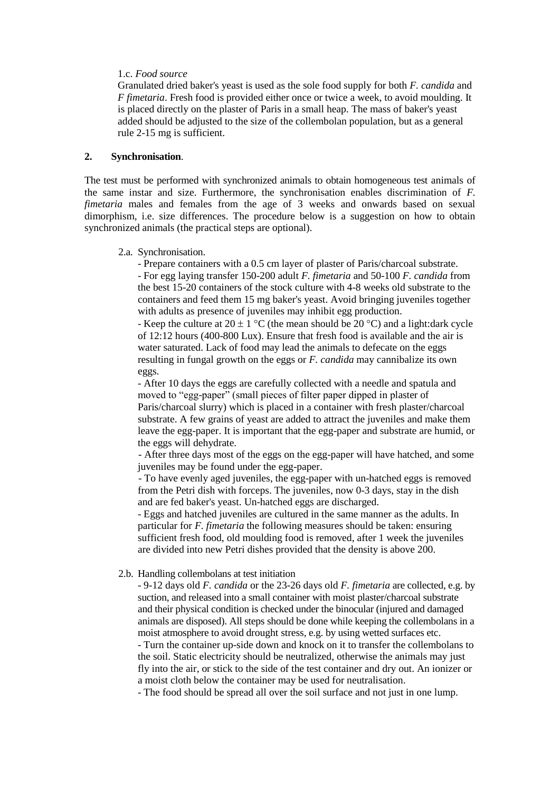#### 1.c. *Food source*

Granulated dried baker's yeast is used as the sole food supply for both *F. candida* and *F fimetaria*. Fresh food is provided either once or twice a week, to avoid moulding. It is placed directly on the plaster of Paris in a small heap. The mass of baker's yeast added should be adjusted to the size of the collembolan population, but as a general rule 2-15 mg is sufficient.

#### **2. Synchronisation**.

The test must be performed with synchronized animals to obtain homogeneous test animals of the same instar and size. Furthermore, the synchronisation enables discrimination of *F. fimetaria* males and females from the age of 3 weeks and onwards based on sexual dimorphism, i.e. size differences. The procedure below is a suggestion on how to obtain synchronized animals (the practical steps are optional).

### 2.a. Synchronisation.

- Prepare containers with a 0.5 cm layer of plaster of Paris/charcoal substrate. - For egg laying transfer 150-200 adult *F. fimetaria* and 50-100 *F. candida* from the best 15-20 containers of the stock culture with 4-8 weeks old substrate to the containers and feed them 15 mg baker's yeast. Avoid bringing juveniles together with adults as presence of juveniles may inhibit egg production.

- Keep the culture at  $20 \pm 1$  °C (the mean should be 20 °C) and a light:dark cycle of 12:12 hours (400-800 Lux). Ensure that fresh food is available and the air is water saturated. Lack of food may lead the animals to defecate on the eggs resulting in fungal growth on the eggs or *F. candida* may cannibalize its own eggs.

- After 10 days the eggs are carefully collected with a needle and spatula and moved to "egg-paper" (small pieces of filter paper dipped in plaster of Paris/charcoal slurry) which is placed in a container with fresh plaster/charcoal substrate. A few grains of yeast are added to attract the juveniles and make them leave the egg-paper. It is important that the egg-paper and substrate are humid, or the eggs will dehydrate.

- After three days most of the eggs on the egg-paper will have hatched, and some juveniles may be found under the egg-paper.

- To have evenly aged juveniles, the egg-paper with un-hatched eggs is removed from the Petri dish with forceps. The juveniles, now 0-3 days, stay in the dish and are fed baker's yeast. Un-hatched eggs are discharged.

- Eggs and hatched juveniles are cultured in the same manner as the adults. In particular for *F. fimetaria* the following measures should be taken: ensuring sufficient fresh food, old moulding food is removed, after 1 week the juveniles are divided into new Petri dishes provided that the density is above 200.

#### 2.b. Handling collembolans at test initiation

- 9-12 days old *F. candida* or the 23-26 days old *F. fimetaria* are collected, e.g. by suction, and released into a small container with moist plaster/charcoal substrate and their physical condition is checked under the binocular (injured and damaged animals are disposed). All steps should be done while keeping the collembolans in a moist atmosphere to avoid drought stress, e.g. by using wetted surfaces etc.

- Turn the container up-side down and knock on it to transfer the collembolans to the soil. Static electricity should be neutralized, otherwise the animals may just fly into the air, or stick to the side of the test container and dry out. An ionizer or a moist cloth below the container may be used for neutralisation.

- The food should be spread all over the soil surface and not just in one lump.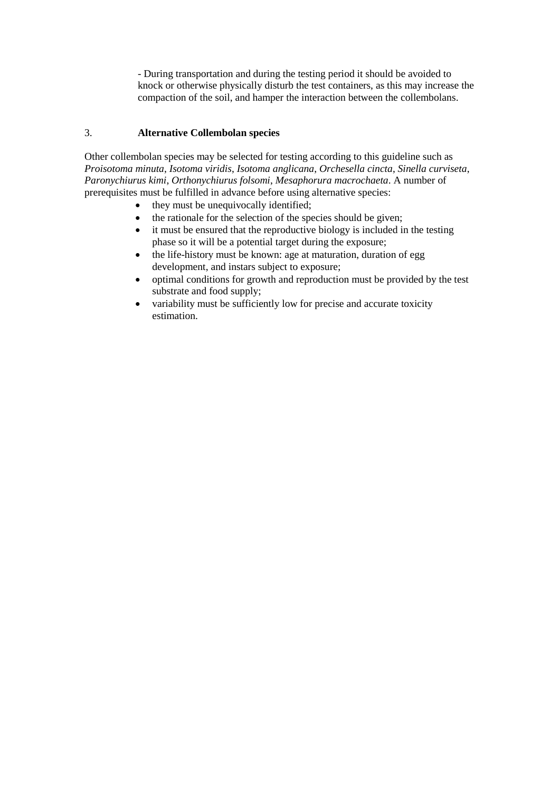- During transportation and during the testing period it should be avoided to knock or otherwise physically disturb the test containers, as this may increase the compaction of the soil, and hamper the interaction between the collembolans.

## 3. **Alternative Collembolan species**

Other collembolan species may be selected for testing according to this guideline such as *Proisotoma minuta*, *Isotoma viridis*, *Isotoma anglicana*, *Orchesella cincta*, *Sinella curviseta*, *Paronychiurus kimi*, *Orthonychiurus folsomi*, *Mesaphorura macrochaeta*. A number of prerequisites must be fulfilled in advance before using alternative species:

- they must be unequivocally identified;
- the rationale for the selection of the species should be given;
- it must be ensured that the reproductive biology is included in the testing phase so it will be a potential target during the exposure;
- the life-history must be known: age at maturation, duration of egg development, and instars subject to exposure;
- optimal conditions for growth and reproduction must be provided by the test substrate and food supply;
- variability must be sufficiently low for precise and accurate toxicity estimation.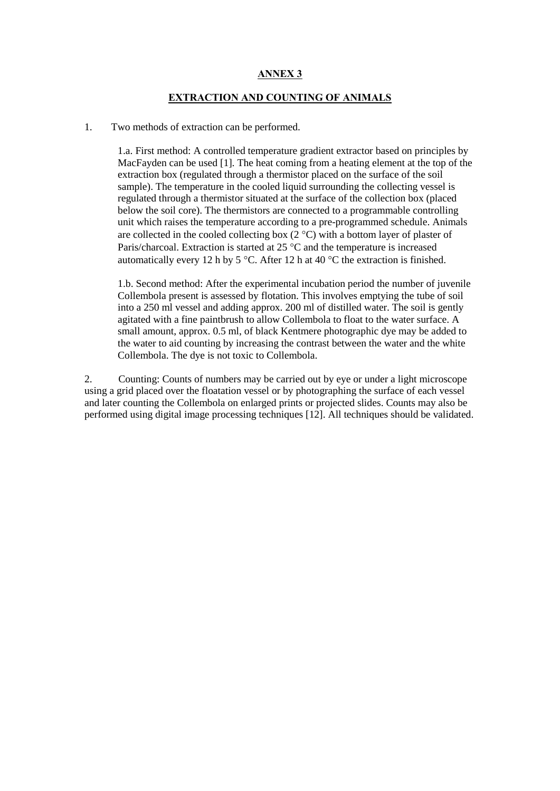## **EXTRACTION AND COUNTING OF ANIMALS**

1. Two methods of extraction can be performed.

1.a. First method: A controlled temperature gradient extractor based on principles by MacFayden can be used [1]. The heat coming from a heating element at the top of the extraction box (regulated through a thermistor placed on the surface of the soil sample). The temperature in the cooled liquid surrounding the collecting vessel is regulated through a thermistor situated at the surface of the collection box (placed below the soil core). The thermistors are connected to a programmable controlling unit which raises the temperature according to a pre-programmed schedule. Animals are collected in the cooled collecting box  $(2 \degree C)$  with a bottom layer of plaster of Paris/charcoal. Extraction is started at  $25^{\circ}$ C and the temperature is increased automatically every 12 h by 5 °C. After 12 h at 40 °C the extraction is finished.

1.b. Second method: After the experimental incubation period the number of juvenile Collembola present is assessed by flotation. This involves emptying the tube of soil into a 250 ml vessel and adding approx. 200 ml of distilled water. The soil is gently agitated with a fine paintbrush to allow Collembola to float to the water surface. A small amount, approx. 0.5 ml, of black Kentmere photographic dye may be added to the water to aid counting by increasing the contrast between the water and the white Collembola. The dye is not toxic to Collembola.

2. Counting: Counts of numbers may be carried out by eye or under a light microscope using a grid placed over the floatation vessel or by photographing the surface of each vessel and later counting the Collembola on enlarged prints or projected slides. Counts may also be performed using digital image processing techniques [12]. All techniques should be validated.